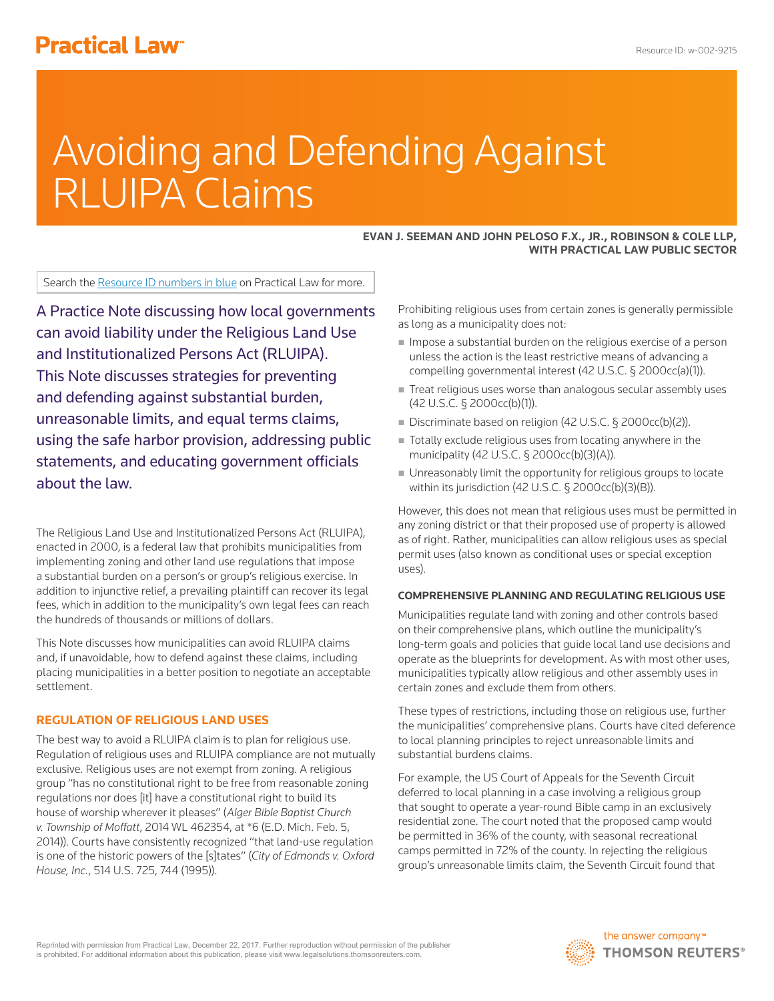# **Practical Law<sup>®</sup>**

# Avoiding and Defending Against RLUIPA Claims

#### **EVAN J. SEEMAN AND JOHN PELOSO F.X., JR., ROBINSON & COLE LLP, WITH PRACTICAL LAW PUBLIC SECTOR**

Search the Resource ID numbers in blue on Practical Law for more.

A Practice Note discussing how local governments can avoid liability under the Religious Land Use and Institutionalized Persons Act (RLUIPA). This Note discusses strategies for preventing and defending against substantial burden, unreasonable limits, and equal terms claims, using the safe harbor provision, addressing public statements, and educating government officials about the law.

The Religious Land Use and Institutionalized Persons Act (RLUIPA), enacted in 2000, is a federal law that prohibits municipalities from implementing zoning and other land use regulations that impose a substantial burden on a person's or group's religious exercise. In addition to injunctive relief, a prevailing plaintiff can recover its legal fees, which in addition to the municipality's own legal fees can reach the hundreds of thousands or millions of dollars.

This Note discusses how municipalities can avoid RLUIPA claims and, if unavoidable, how to defend against these claims, including placing municipalities in a better position to negotiate an acceptable settlement.

# **REGULATION OF RELIGIOUS LAND USES**

The best way to avoid a RLUIPA claim is to plan for religious use. Regulation of religious uses and RLUIPA compliance are not mutually exclusive. Religious uses are not exempt from zoning. A religious group "has no constitutional right to be free from reasonable zoning regulations nor does [it] have a constitutional right to build its house of worship wherever it pleases" (*Alger Bible Baptist Church v. Township of Moffatt*, 2014 WL 462354, at \*6 (E.D. Mich. Feb. 5, 2014)). Courts have consistently recognized "that land-use regulation is one of the historic powers of the [s]tates" (*City of Edmonds v. Oxford House, Inc.*, 514 U.S. 725, 744 (1995)).

Prohibiting religious uses from certain zones is generally permissible as long as a municipality does not:

- $\blacksquare$  Impose a substantial burden on the religious exercise of a person unless the action is the least restrictive means of advancing a compelling governmental interest (42 U.S.C. § 2000cc(a)(1)).
- Treat religious uses worse than analogous secular assembly uses (42 U.S.C. § 2000cc(b)(1)).
- Discriminate based on religion (42 U.S.C. § 2000cc(b)(2)).
- Totally exclude religious uses from locating anywhere in the municipality (42 U.S.C. § 2000cc(b)(3)(A)).
- Unreasonably limit the opportunity for religious groups to locate within its jurisdiction (42 U.S.C. § 2000cc(b)(3)(B)).

However, this does not mean that religious uses must be permitted in any zoning district or that their proposed use of property is allowed as of right. Rather, municipalities can allow religious uses as special permit uses (also known as conditional uses or special exception uses).

# **COMPREHENSIVE PLANNING AND REGULATING RELIGIOUS USE**

Municipalities regulate land with zoning and other controls based on their comprehensive plans, which outline the municipality's long-term goals and policies that guide local land use decisions and operate as the blueprints for development. As with most other uses, municipalities typically allow religious and other assembly uses in certain zones and exclude them from others.

These types of restrictions, including those on religious use, further the municipalities' comprehensive plans. Courts have cited deference to local planning principles to reject unreasonable limits and substantial burdens claims.

For example, the US Court of Appeals for the Seventh Circuit deferred to local planning in a case involving a religious group that sought to operate a year-round Bible camp in an exclusively residential zone. The court noted that the proposed camp would be permitted in 36% of the county, with seasonal recreational camps permitted in 72% of the county. In rejecting the religious group's unreasonable limits claim, the Seventh Circuit found that

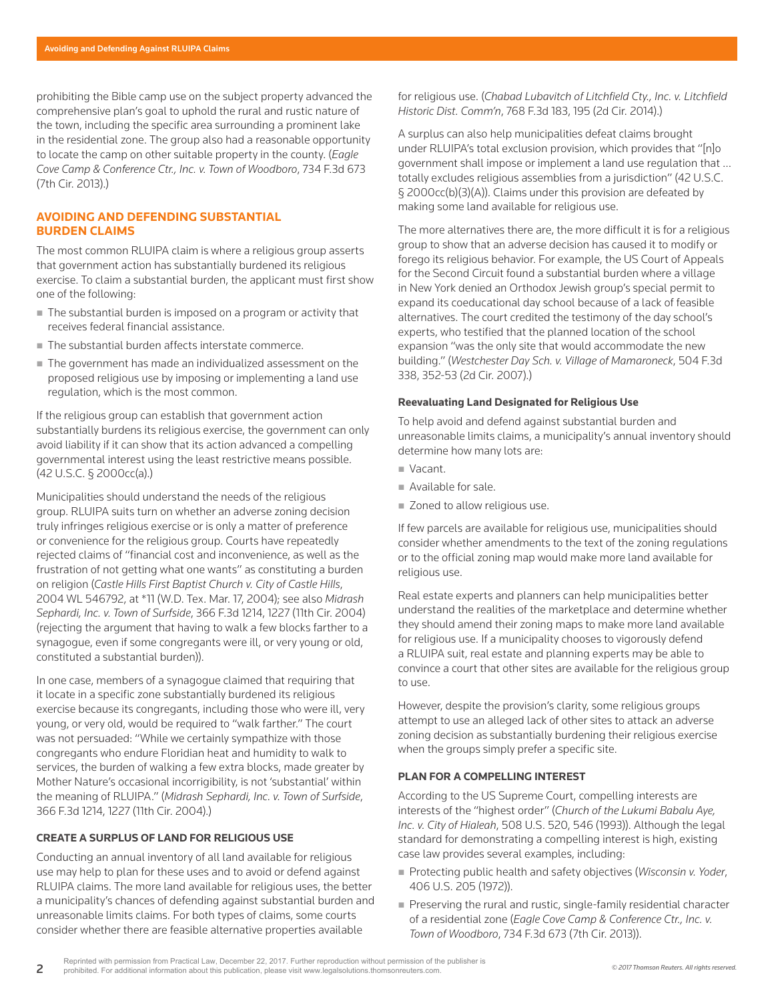prohibiting the Bible camp use on the subject property advanced the comprehensive plan's goal to uphold the rural and rustic nature of the town, including the specific area surrounding a prominent lake in the residential zone. The group also had a reasonable opportunity to locate the camp on other suitable property in the county. (*Eagle Cove Camp & Conference Ctr., Inc. v. Town of Woodboro*, 734 F.3d 673 (7th Cir. 2013).)

## **AVOIDING AND DEFENDING SUBSTANTIAL BURDEN CLAIMS**

The most common RLUIPA claim is where a religious group asserts that government action has substantially burdened its religious exercise. To claim a substantial burden, the applicant must first show one of the following:

- The substantial burden is imposed on a program or activity that receives federal financial assistance.
- The substantial burden affects interstate commerce.
- The government has made an individualized assessment on the proposed religious use by imposing or implementing a land use regulation, which is the most common.

If the religious group can establish that government action substantially burdens its religious exercise, the government can only avoid liability if it can show that its action advanced a compelling governmental interest using the least restrictive means possible. (42 U.S.C. § 2000cc(a).)

Municipalities should understand the needs of the religious group. RLUIPA suits turn on whether an adverse zoning decision truly infringes religious exercise or is only a matter of preference or convenience for the religious group. Courts have repeatedly rejected claims of "financial cost and inconvenience, as well as the frustration of not getting what one wants" as constituting a burden on religion (*Castle Hills First Baptist Church v. City of Castle Hills*, 2004 WL 546792, at \*11 (W.D. Tex. Mar. 17, 2004); see also *Midrash Sephardi, Inc. v. Town of Surfside*, 366 F.3d 1214, 1227 (11th Cir. 2004) (rejecting the argument that having to walk a few blocks farther to a synagogue, even if some congregants were ill, or very young or old, constituted a substantial burden)).

In one case, members of a synagogue claimed that requiring that it locate in a specific zone substantially burdened its religious exercise because its congregants, including those who were ill, very young, or very old, would be required to "walk farther." The court was not persuaded: "While we certainly sympathize with those congregants who endure Floridian heat and humidity to walk to services, the burden of walking a few extra blocks, made greater by Mother Nature's occasional incorrigibility, is not 'substantial' within the meaning of RLUIPA." (*Midrash Sephardi, Inc. v. Town of Surfside*, 366 F.3d 1214, 1227 (11th Cir. 2004).)

#### **CREATE A SURPLUS OF LAND FOR RELIGIOUS USE**

Conducting an annual inventory of all land available for religious use may help to plan for these uses and to avoid or defend against RLUIPA claims. The more land available for religious uses, the better a municipality's chances of defending against substantial burden and unreasonable limits claims. For both types of claims, some courts consider whether there are feasible alternative properties available

for religious use. (*Chabad Lubavitch of Litchfield Cty., Inc. v. Litchfield Historic Dist. Comm'n*, 768 F.3d 183, 195 (2d Cir. 2014).)

A surplus can also help municipalities defeat claims brought under RLUIPA's total exclusion provision, which provides that "[n]o government shall impose or implement a land use regulation that … totally excludes religious assemblies from a jurisdiction" (42 U.S.C. § 2000cc(b)(3)(A)). Claims under this provision are defeated by making some land available for religious use.

The more alternatives there are, the more difficult it is for a religious group to show that an adverse decision has caused it to modify or forego its religious behavior. For example, the US Court of Appeals for the Second Circuit found a substantial burden where a village in New York denied an Orthodox Jewish group's special permit to expand its coeducational day school because of a lack of feasible alternatives. The court credited the testimony of the day school's experts, who testified that the planned location of the school expansion "was the only site that would accommodate the new building." (*Westchester Day Sch. v. Village of Mamaroneck*, 504 F.3d 338, 352-53 (2d Cir. 2007).)

#### **Reevaluating Land Designated for Religious Use**

To help avoid and defend against substantial burden and unreasonable limits claims, a municipality's annual inventory should determine how many lots are:

- Vacant.
- Available for sale.
- Zoned to allow religious use.

If few parcels are available for religious use, municipalities should consider whether amendments to the text of the zoning regulations or to the official zoning map would make more land available for religious use.

Real estate experts and planners can help municipalities better understand the realities of the marketplace and determine whether they should amend their zoning maps to make more land available for religious use. If a municipality chooses to vigorously defend a RLUIPA suit, real estate and planning experts may be able to convince a court that other sites are available for the religious group to use.

However, despite the provision's clarity, some religious groups attempt to use an alleged lack of other sites to attack an adverse zoning decision as substantially burdening their religious exercise when the groups simply prefer a specific site.

#### **PLAN FOR A COMPELLING INTEREST**

According to the US Supreme Court, compelling interests are interests of the "highest order" (*Church of the Lukumi Babalu Aye, Inc. v. City of Hialeah*, 508 U.S. 520, 546 (1993)). Although the legal standard for demonstrating a compelling interest is high, existing case law provides several examples, including:

- Protecting public health and safety objectives (*Wisconsin v. Yoder*, 406 U.S. 205 (1972)).
- Preserving the rural and rustic, single-family residential character of a residential zone (*Eagle Cove Camp & Conference Ctr., Inc. v. Town of Woodboro*, 734 F.3d 673 (7th Cir. 2013)).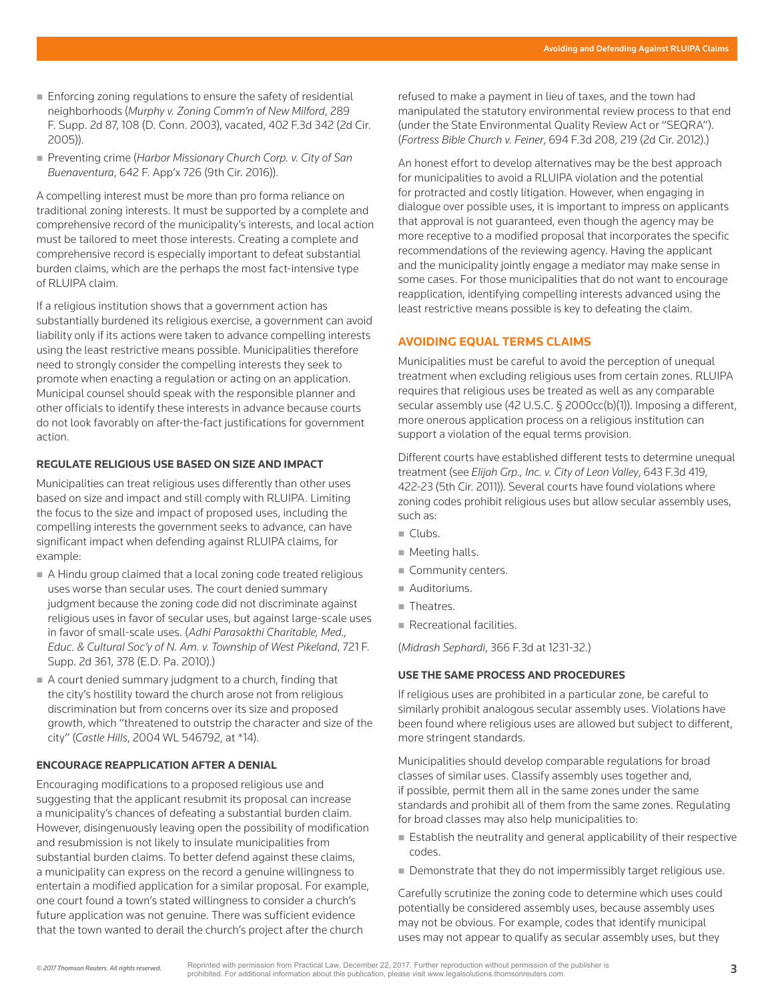- Enforcing zoning regulations to ensure the safety of residential neighborhoods (*Murphy v. Zoning Comm'n of New Milford*, 289 F. Supp. 2d 87, 108 (D. Conn. 2003), vacated, 402 F.3d 342 (2d Cir. 2005)).
- Preventing crime (*Harbor Missionary Church Corp. v. City of San Buenaventura*, 642 F. App'x 726 (9th Cir. 2016)).

A compelling interest must be more than pro forma reliance on traditional zoning interests. It must be supported by a complete and comprehensive record of the municipality's interests, and local action must be tailored to meet those interests. Creating a complete and comprehensive record is especially important to defeat substantial burden claims, which are the perhaps the most fact-intensive type of RLUIPA claim.

If a religious institution shows that a government action has substantially burdened its religious exercise, a government can avoid liability only if its actions were taken to advance compelling interests using the least restrictive means possible. Municipalities therefore need to strongly consider the compelling interests they seek to promote when enacting a regulation or acting on an application. Municipal counsel should speak with the responsible planner and other officials to identify these interests in advance because courts do not look favorably on after-the-fact justifications for government action.

#### **REGULATE RELIGIOUS USE BASED ON SIZE AND IMPACT**

Municipalities can treat religious uses differently than other uses based on size and impact and still comply with RLUIPA. Limiting the focus to the size and impact of proposed uses, including the compelling interests the government seeks to advance, can have significant impact when defending against RLUIPA claims, for example:

- A Hindu group claimed that a local zoning code treated religious uses worse than secular uses. The court denied summary judgment because the zoning code did not discriminate against religious uses in favor of secular uses, but against large-scale uses in favor of small-scale uses. (*Adhi Parasakthi Charitable, Med., Educ. & Cultural Soc'y of N. Am. v. Township of West Pikeland*, 721 F. Supp. 2d 361, 378 (E.D. Pa. 2010).)
- A court denied summary judgment to a church, finding that the city's hostility toward the church arose not from religious discrimination but from concerns over its size and proposed growth, which "threatened to outstrip the character and size of the city" (*Castle Hills*, 2004 WL 546792, at \*14).

#### **ENCOURAGE REAPPLICATION AFTER A DENIAL**

Encouraging modifications to a proposed religious use and suggesting that the applicant resubmit its proposal can increase a municipality's chances of defeating a substantial burden claim. However, disingenuously leaving open the possibility of modification and resubmission is not likely to insulate municipalities from substantial burden claims. To better defend against these claims, a municipality can express on the record a genuine willingness to entertain a modified application for a similar proposal. For example, one court found a town's stated willingness to consider a church's future application was not genuine. There was sufficient evidence that the town wanted to derail the church's project after the church

refused to make a payment in lieu of taxes, and the town had manipulated the statutory environmental review process to that end (under the State Environmental Quality Review Act or "SEQRA"). (*Fortress Bible Church v. Feiner*, 694 F.3d 208, 219 (2d Cir. 2012).)

An honest effort to develop alternatives may be the best approach for municipalities to avoid a RLUIPA violation and the potential for protracted and costly litigation. However, when engaging in dialogue over possible uses, it is important to impress on applicants that approval is not guaranteed, even though the agency may be more receptive to a modified proposal that incorporates the specific recommendations of the reviewing agency. Having the applicant and the municipality jointly engage a mediator may make sense in some cases. For those municipalities that do not want to encourage reapplication, identifying compelling interests advanced using the least restrictive means possible is key to defeating the claim.

#### **AVOIDING EQUAL TERMS CLAIMS**

Municipalities must be careful to avoid the perception of unequal treatment when excluding religious uses from certain zones. RLUIPA requires that religious uses be treated as well as any comparable secular assembly use (42 U.S.C. § 2000cc(b)(1)). Imposing a different, more onerous application process on a religious institution can support a violation of the equal terms provision.

Different courts have established different tests to determine unequal treatment (see *Elijah Grp., Inc. v. City of Leon Valley*, 643 F.3d 419, 422-23 (5th Cir. 2011)). Several courts have found violations where zoning codes prohibit religious uses but allow secular assembly uses, such as:

- $\blacksquare$  Clubs.
- **Meeting halls.**
- Community centers.
- Auditoriums.
- Theatres.
- Recreational facilities.

(*Midrash Sephardi*, 366 F.3d at 1231-32.)

#### **USE THE SAME PROCESS AND PROCEDURES**

If religious uses are prohibited in a particular zone, be careful to similarly prohibit analogous secular assembly uses. Violations have been found where religious uses are allowed but subject to different, more stringent standards.

Municipalities should develop comparable regulations for broad classes of similar uses. Classify assembly uses together and, if possible, permit them all in the same zones under the same standards and prohibit all of them from the same zones. Regulating for broad classes may also help municipalities to:

- $\blacksquare$  Establish the neutrality and general applicability of their respective codes.
- Demonstrate that they do not impermissibly target religious use.

Carefully scrutinize the zoning code to determine which uses could potentially be considered assembly uses, because assembly uses may not be obvious. For example, codes that identify municipal uses may not appear to qualify as secular assembly uses, but they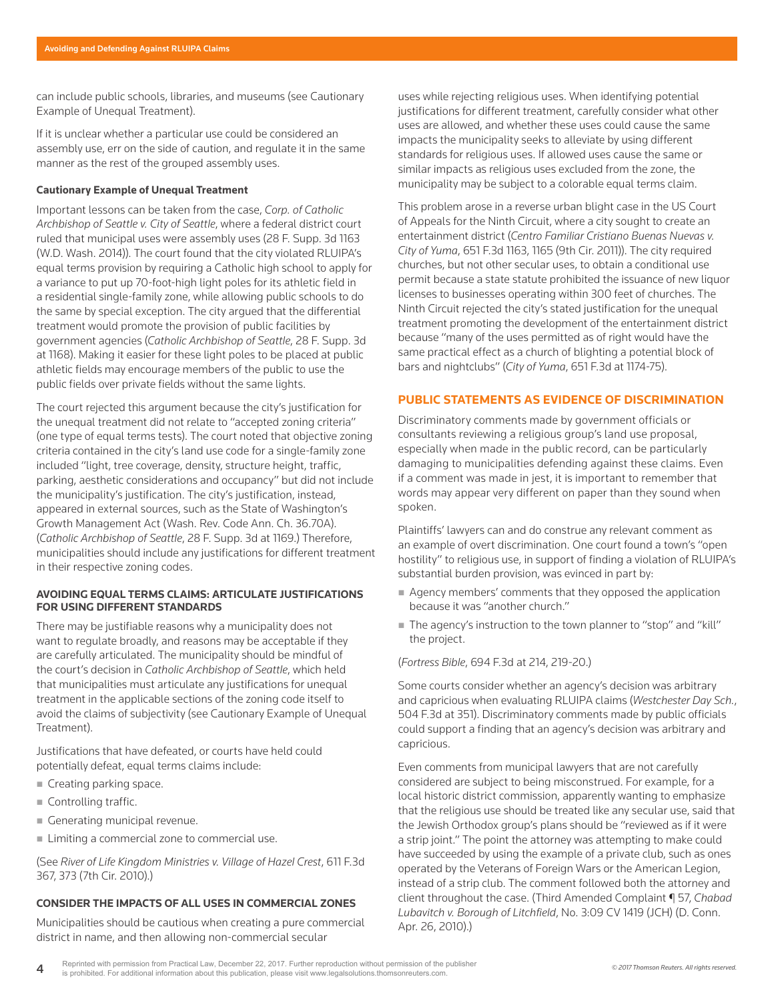can include public schools, libraries, and museums (see Cautionary Example of Unequal Treatment).

If it is unclear whether a particular use could be considered an assembly use, err on the side of caution, and regulate it in the same manner as the rest of the grouped assembly uses.

#### **Cautionary Example of Unequal Treatment**

Important lessons can be taken from the case, *Corp. of Catholic Archbishop of Seattle v. City of Seattle*, where a federal district court ruled that municipal uses were assembly uses (28 F. Supp. 3d 1163 (W.D. Wash. 2014)). The court found that the city violated RLUIPA's equal terms provision by requiring a Catholic high school to apply for a variance to put up 70-foot-high light poles for its athletic field in a residential single-family zone, while allowing public schools to do the same by special exception. The city argued that the differential treatment would promote the provision of public facilities by government agencies (*Catholic Archbishop of Seattle*, 28 F. Supp. 3d at 1168). Making it easier for these light poles to be placed at public athletic fields may encourage members of the public to use the public fields over private fields without the same lights.

The court rejected this argument because the city's justification for the unequal treatment did not relate to "accepted zoning criteria" (one type of equal terms tests). The court noted that objective zoning criteria contained in the city's land use code for a single-family zone included "light, tree coverage, density, structure height, traffic, parking, aesthetic considerations and occupancy" but did not include the municipality's justification. The city's justification, instead, appeared in external sources, such as the State of Washington's Growth Management Act (Wash. Rev. Code Ann. Ch. 36.70A). (*Catholic Archbishop of Seattle*, 28 F. Supp. 3d at 1169.) Therefore, municipalities should include any justifications for different treatment in their respective zoning codes.

#### **AVOIDING EQUAL TERMS CLAIMS: ARTICULATE JUSTIFICATIONS FOR USING DIFFERENT STANDARDS**

There may be justifiable reasons why a municipality does not want to regulate broadly, and reasons may be acceptable if they are carefully articulated. The municipality should be mindful of the court's decision in *Catholic Archbishop of Seattle*, which held that municipalities must articulate any justifications for unequal treatment in the applicable sections of the zoning code itself to avoid the claims of subjectivity (see Cautionary Example of Unequal Treatment).

Justifications that have defeated, or courts have held could potentially defeat, equal terms claims include:

- Creating parking space.
- Controlling traffic.
- Generating municipal revenue.
- Limiting a commercial zone to commercial use.

(See *River of Life Kingdom Ministries v. Village of Hazel Crest*, 611 F.3d 367, 373 (7th Cir. 2010).)

#### **CONSIDER THE IMPACTS OF ALL USES IN COMMERCIAL ZONES**

Municipalities should be cautious when creating a pure commercial district in name, and then allowing non-commercial secular

uses while rejecting religious uses. When identifying potential justifications for different treatment, carefully consider what other uses are allowed, and whether these uses could cause the same impacts the municipality seeks to alleviate by using different standards for religious uses. If allowed uses cause the same or similar impacts as religious uses excluded from the zone, the municipality may be subject to a colorable equal terms claim.

This problem arose in a reverse urban blight case in the US Court of Appeals for the Ninth Circuit, where a city sought to create an entertainment district (*Centro Familiar Cristiano Buenas Nuevas v. City of Yuma*, 651 F.3d 1163, 1165 (9th Cir. 2011)). The city required churches, but not other secular uses, to obtain a conditional use permit because a state statute prohibited the issuance of new liquor licenses to businesses operating within 300 feet of churches. The Ninth Circuit rejected the city's stated justification for the unequal treatment promoting the development of the entertainment district because "many of the uses permitted as of right would have the same practical effect as a church of blighting a potential block of bars and nightclubs" (*City of Yuma*, 651 F.3d at 1174-75).

#### **PUBLIC STATEMENTS AS EVIDENCE OF DISCRIMINATION**

Discriminatory comments made by government officials or consultants reviewing a religious group's land use proposal, especially when made in the public record, can be particularly damaging to municipalities defending against these claims. Even if a comment was made in jest, it is important to remember that words may appear very different on paper than they sound when spoken.

Plaintiffs' lawyers can and do construe any relevant comment as an example of overt discrimination. One court found a town's "open hostility" to religious use, in support of finding a violation of RLUIPA's substantial burden provision, was evinced in part by:

- Agency members' comments that they opposed the application because it was "another church."
- The agency's instruction to the town planner to "stop" and "kill" the project.

#### (*Fortress Bible*, 694 F.3d at 214, 219-20.)

Some courts consider whether an agency's decision was arbitrary and capricious when evaluating RLUIPA claims (*Westchester Day Sch.*, 504 F.3d at 351). Discriminatory comments made by public officials could support a finding that an agency's decision was arbitrary and capricious.

Even comments from municipal lawyers that are not carefully considered are subject to being misconstrued. For example, for a local historic district commission, apparently wanting to emphasize that the religious use should be treated like any secular use, said that the Jewish Orthodox group's plans should be "reviewed as if it were a strip joint." The point the attorney was attempting to make could have succeeded by using the example of a private club, such as ones operated by the Veterans of Foreign Wars or the American Legion, instead of a strip club. The comment followed both the attorney and client throughout the case. (Third Amended Complaint ¶ 57, *Chabad Lubavitch v. Borough of Litchfield*, No. 3:09 CV 1419 (JCH) (D. Conn. Apr. 26, 2010).)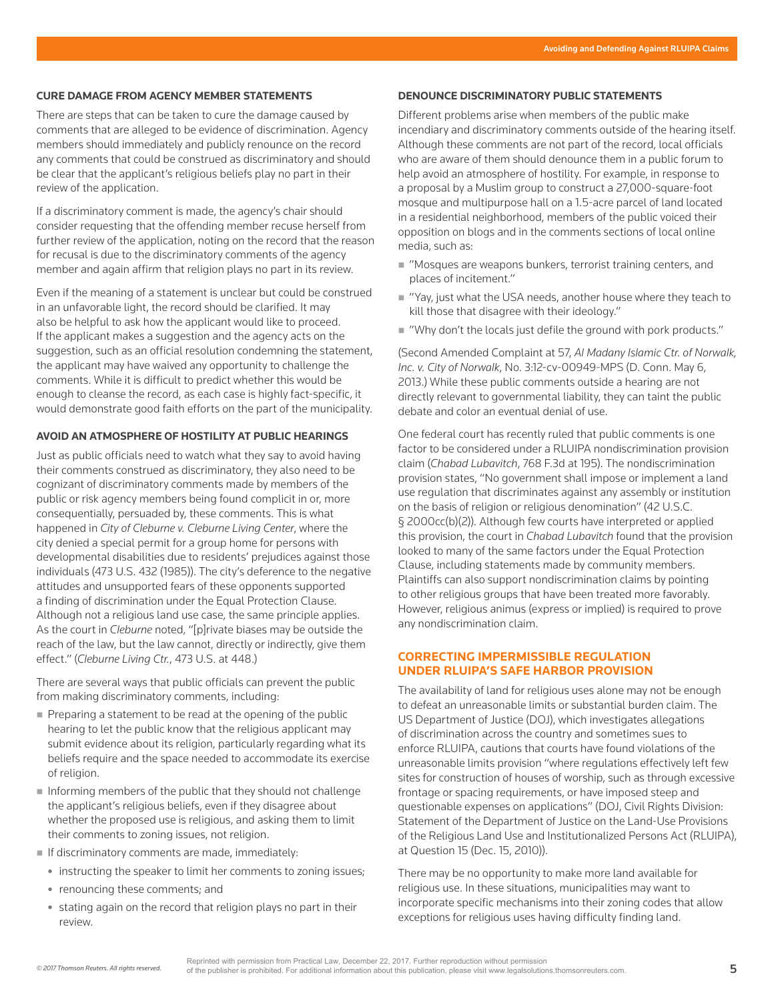#### **CURE DAMAGE FROM AGENCY MEMBER STATEMENTS**

There are steps that can be taken to cure the damage caused by comments that are alleged to be evidence of discrimination. Agency members should immediately and publicly renounce on the record any comments that could be construed as discriminatory and should be clear that the applicant's religious beliefs play no part in their review of the application.

If a discriminatory comment is made, the agency's chair should consider requesting that the offending member recuse herself from further review of the application, noting on the record that the reason for recusal is due to the discriminatory comments of the agency member and again affirm that religion plays no part in its review.

Even if the meaning of a statement is unclear but could be construed in an unfavorable light, the record should be clarified. It may also be helpful to ask how the applicant would like to proceed. If the applicant makes a suggestion and the agency acts on the suggestion, such as an official resolution condemning the statement, the applicant may have waived any opportunity to challenge the comments. While it is difficult to predict whether this would be enough to cleanse the record, as each case is highly fact-specific, it would demonstrate good faith efforts on the part of the municipality.

#### **AVOID AN ATMOSPHERE OF HOSTILITY AT PUBLIC HEARINGS**

Just as public officials need to watch what they say to avoid having their comments construed as discriminatory, they also need to be cognizant of discriminatory comments made by members of the public or risk agency members being found complicit in or, more consequentially, persuaded by, these comments. This is what happened in *City of Cleburne v. Cleburne Living Center*, where the city denied a special permit for a group home for persons with developmental disabilities due to residents' prejudices against those individuals (473 U.S. 432 (1985)). The city's deference to the negative attitudes and unsupported fears of these opponents supported a finding of discrimination under the Equal Protection Clause. Although not a religious land use case, the same principle applies. As the court in *Cleburne* noted, "[p]rivate biases may be outside the reach of the law, but the law cannot, directly or indirectly, give them effect." (*Cleburne Living Ctr.*, 473 U.S. at 448.)

There are several ways that public officials can prevent the public from making discriminatory comments, including:

- Preparing a statement to be read at the opening of the public hearing to let the public know that the religious applicant may submit evidence about its religion, particularly regarding what its beliefs require and the space needed to accommodate its exercise of religion.
- $\blacksquare$  Informing members of the public that they should not challenge the applicant's religious beliefs, even if they disagree about whether the proposed use is religious, and asking them to limit their comments to zoning issues, not religion.
- If discriminatory comments are made, immediately:
- instructing the speaker to limit her comments to zoning issues;
- renouncing these comments; and
- stating again on the record that religion plays no part in their review.

#### **DENOUNCE DISCRIMINATORY PUBLIC STATEMENTS**

Different problems arise when members of the public make incendiary and discriminatory comments outside of the hearing itself. Although these comments are not part of the record, local officials who are aware of them should denounce them in a public forum to help avoid an atmosphere of hostility. For example, in response to a proposal by a Muslim group to construct a 27,000-square-foot mosque and multipurpose hall on a 1.5-acre parcel of land located in a residential neighborhood, members of the public voiced their opposition on blogs and in the comments sections of local online media, such as:

- "Mosques are weapons bunkers, terrorist training centers, and places of incitement."
- "Yay, just what the USA needs, another house where they teach to kill those that disagree with their ideology."
- "Why don't the locals just defile the ground with pork products."

(Second Amended Complaint at 57, *Al Madany Islamic Ctr. of Norwalk, Inc. v. City of Norwalk*, No. 3:12-cv-00949-MPS (D. Conn. May 6, 2013.) While these public comments outside a hearing are not directly relevant to governmental liability, they can taint the public debate and color an eventual denial of use.

One federal court has recently ruled that public comments is one factor to be considered under a RLUIPA nondiscrimination provision claim (*Chabad Lubavitch*, 768 F.3d at 195). The nondiscrimination provision states, "No government shall impose or implement a land use regulation that discriminates against any assembly or institution on the basis of religion or religious denomination" (42 U.S.C. § 2000cc(b)(2)). Although few courts have interpreted or applied this provision, the court in *Chabad Lubavitch* found that the provision looked to many of the same factors under the Equal Protection Clause, including statements made by community members. Plaintiffs can also support nondiscrimination claims by pointing to other religious groups that have been treated more favorably. However, religious animus (express or implied) is required to prove any nondiscrimination claim.

# **CORRECTING IMPERMISSIBLE REGULATION UNDER RLUIPA'S SAFE HARBOR PROVISION**

The availability of land for religious uses alone may not be enough to defeat an unreasonable limits or substantial burden claim. The US Department of Justice (DOJ), which investigates allegations of discrimination across the country and sometimes sues to enforce RLUIPA, cautions that courts have found violations of the unreasonable limits provision "where regulations effectively left few sites for construction of houses of worship, such as through excessive frontage or spacing requirements, or have imposed steep and questionable expenses on applications" (DOJ, Civil Rights Division: Statement of the Department of Justice on the Land-Use Provisions of the Religious Land Use and Institutionalized Persons Act (RLUIPA), at Question 15 (Dec. 15, 2010)).

There may be no opportunity to make more land available for religious use. In these situations, municipalities may want to incorporate specific mechanisms into their zoning codes that allow exceptions for religious uses having difficulty finding land.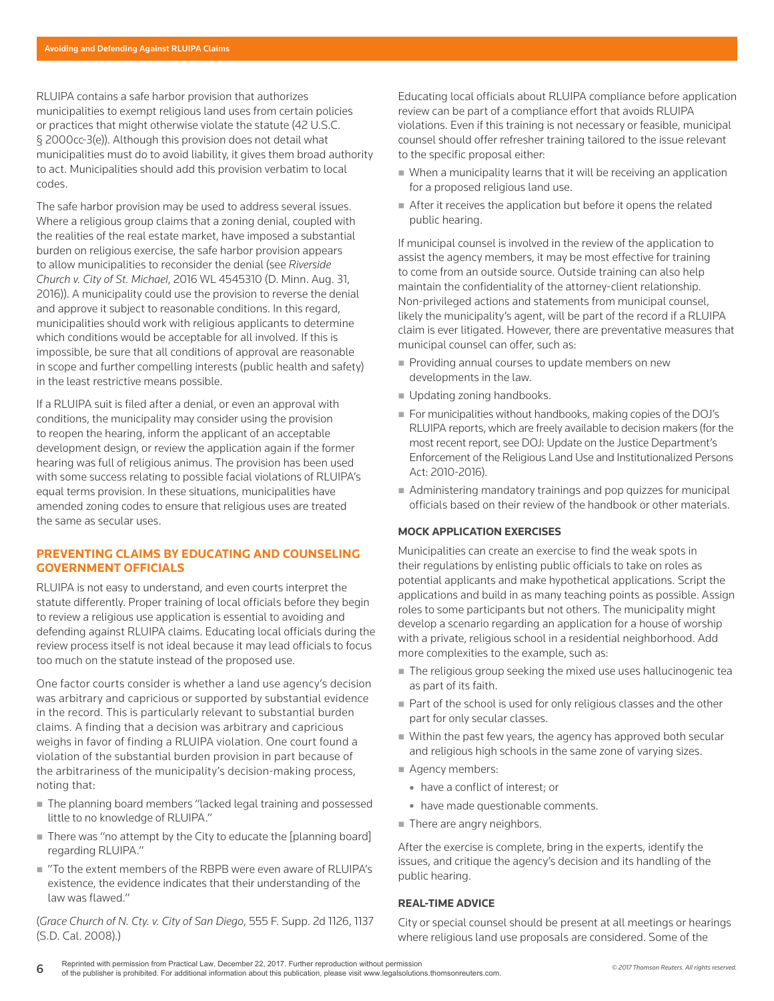RLUIPA contains a safe harbor provision that authorizes municipalities to exempt religious land uses from certain policies or practices that might otherwise violate the statute (42 U.S.C. § 2000cc-3(e)). Although this provision does not detail what municipalities must do to avoid liability, it gives them broad authority to act. Municipalities should add this provision verbatim to local codes.

The safe harbor provision may be used to address several issues. Where a religious group claims that a zoning denial, coupled with the realities of the real estate market, have imposed a substantial burden on religious exercise, the safe harbor provision appears to allow municipalities to reconsider the denial (see *Riverside Church v. City of St. Michael*, 2016 WL 4545310 (D. Minn. Aug. 31, 2016)). A municipality could use the provision to reverse the denial and approve it subject to reasonable conditions. In this regard, municipalities should work with religious applicants to determine which conditions would be acceptable for all involved. If this is impossible, be sure that all conditions of approval are reasonable in scope and further compelling interests (public health and safety) in the least restrictive means possible.

If a RLUIPA suit is filed after a denial, or even an approval with conditions, the municipality may consider using the provision to reopen the hearing, inform the applicant of an acceptable development design, or review the application again if the former hearing was full of religious animus. The provision has been used with some success relating to possible facial violations of RLUIPA's equal terms provision. In these situations, municipalities have amended zoning codes to ensure that religious uses are treated the same as secular uses.

#### **PREVENTING CLAIMS BY EDUCATING AND COUNSELING GOVERNMENT OFFICIALS**

RLUIPA is not easy to understand, and even courts interpret the statute differently. Proper training of local officials before they begin to review a religious use application is essential to avoiding and defending against RLUIPA claims. Educating local officials during the review process itself is not ideal because it may lead officials to focus too much on the statute instead of the proposed use.

One factor courts consider is whether a land use agency's decision was arbitrary and capricious or supported by substantial evidence in the record. This is particularly relevant to substantial burden claims. A finding that a decision was arbitrary and capricious weighs in favor of finding a RLUIPA violation. One court found a violation of the substantial burden provision in part because of the arbitrariness of the municipality's decision-making process, noting that:

- The planning board members "lacked legal training and possessed little to no knowledge of RLUIPA."
- $\blacksquare$  There was "no attempt by the City to educate the [planning board] regarding RLUIPA."
- "To the extent members of the RBPB were even aware of RLUIPA's existence, the evidence indicates that their understanding of the law was flawed."

(*Grace Church of N. Cty. v. City of San Diego*, 555 F. Supp. 2d 1126, 1137 (S.D. Cal. 2008).)

Educating local officials about RLUIPA compliance before application review can be part of a compliance effort that avoids RLUIPA violations. Even if this training is not necessary or feasible, municipal counsel should offer refresher training tailored to the issue relevant to the specific proposal either:

- When a municipality learns that it will be receiving an application for a proposed religious land use.
- After it receives the application but before it opens the related public hearing.

If municipal counsel is involved in the review of the application to assist the agency members, it may be most effective for training to come from an outside source. Outside training can also help maintain the confidentiality of the attorney-client relationship. Non-privileged actions and statements from municipal counsel, likely the municipality's agent, will be part of the record if a RLUIPA claim is ever litigated. However, there are preventative measures that municipal counsel can offer, such as:

- Providing annual courses to update members on new developments in the law.
- **Updating zoning handbooks.**
- For municipalities without handbooks, making copies of the DOJ's RLUIPA reports, which are freely available to decision makers (for the most recent report, see DOJ: Update on the Justice Department's Enforcement of the Religious Land Use and Institutionalized Persons Act: 2010-2016).
- Administering mandatory trainings and pop quizzes for municipal officials based on their review of the handbook or other materials.

#### **MOCK APPLICATION EXERCISES**

Municipalities can create an exercise to find the weak spots in their regulations by enlisting public officials to take on roles as potential applicants and make hypothetical applications. Script the applications and build in as many teaching points as possible. Assign roles to some participants but not others. The municipality might develop a scenario regarding an application for a house of worship with a private, religious school in a residential neighborhood. Add more complexities to the example, such as:

- The religious group seeking the mixed use uses hallucinogenic tea as part of its faith.
- Part of the school is used for only religious classes and the other part for only secular classes.
- Within the past few years, the agency has approved both secular and religious high schools in the same zone of varying sizes.
- Agency members:
	- have a conflict of interest; or
	- have made questionable comments.
- There are angry neighbors.

After the exercise is complete, bring in the experts, identify the issues, and critique the agency's decision and its handling of the public hearing.

#### **REAL-TIME ADVICE**

City or special counsel should be present at all meetings or hearings where religious land use proposals are considered. Some of the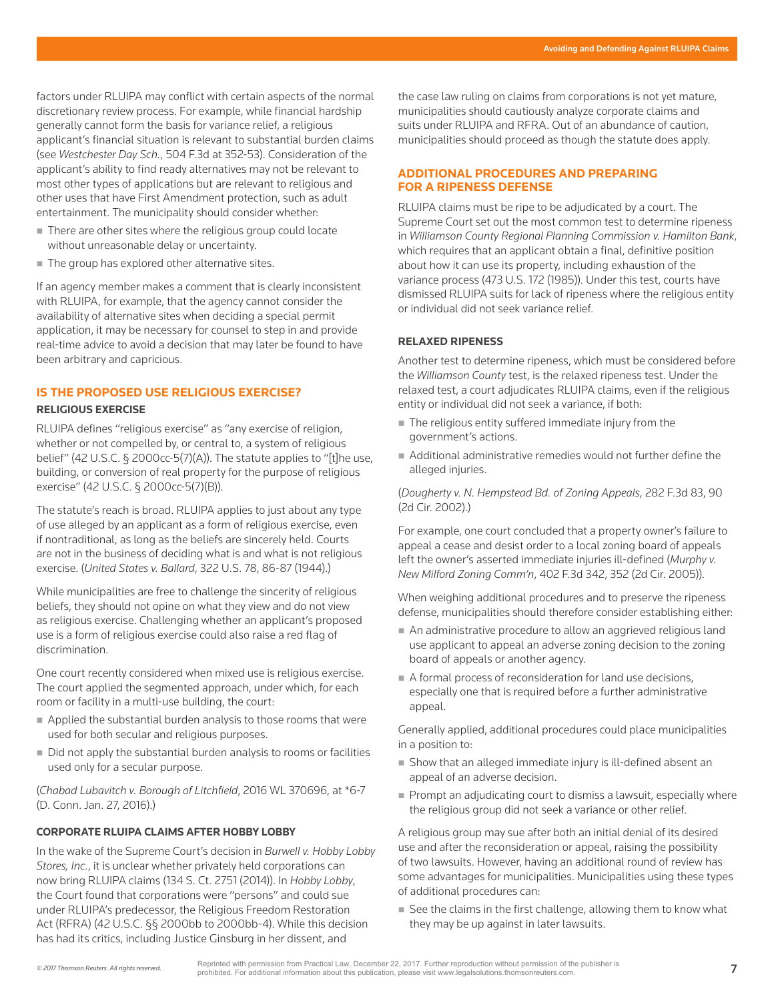factors under RLUIPA may conflict with certain aspects of the normal discretionary review process. For example, while financial hardship generally cannot form the basis for variance relief, a religious applicant's financial situation is relevant to substantial burden claims (see *Westchester Day Sch.*, 504 F.3d at 352-53). Consideration of the applicant's ability to find ready alternatives may not be relevant to most other types of applications but are relevant to religious and other uses that have First Amendment protection, such as adult entertainment. The municipality should consider whether:

- There are other sites where the religious group could locate without unreasonable delay or uncertainty.
- The group has explored other alternative sites.

If an agency member makes a comment that is clearly inconsistent with RLUIPA, for example, that the agency cannot consider the availability of alternative sites when deciding a special permit application, it may be necessary for counsel to step in and provide real-time advice to avoid a decision that may later be found to have been arbitrary and capricious.

# **IS THE PROPOSED USE RELIGIOUS EXERCISE?**

# **RELIGIOUS EXERCISE**

RLUIPA defines "religious exercise" as "any exercise of religion, whether or not compelled by, or central to, a system of religious belief" (42 U.S.C. § 2000cc-5(7)(A)). The statute applies to "[t]he use, building, or conversion of real property for the purpose of religious exercise" (42 U.S.C. § 2000cc-5(7)(B)).

The statute's reach is broad. RLUIPA applies to just about any type of use alleged by an applicant as a form of religious exercise, even if nontraditional, as long as the beliefs are sincerely held. Courts are not in the business of deciding what is and what is not religious exercise. (*United States v. Ballard*, 322 U.S. 78, 86-87 (1944).)

While municipalities are free to challenge the sincerity of religious beliefs, they should not opine on what they view and do not view as religious exercise. Challenging whether an applicant's proposed use is a form of religious exercise could also raise a red flag of discrimination.

One court recently considered when mixed use is religious exercise. The court applied the segmented approach, under which, for each room or facility in a multi-use building, the court:

- Applied the substantial burden analysis to those rooms that were used for both secular and religious purposes.
- Did not apply the substantial burden analysis to rooms or facilities used only for a secular purpose.

(*Chabad Lubavitch v. Borough of Litchfield*, 2016 WL 370696, at \*6-7 (D. Conn. Jan. 27, 2016).)

#### **CORPORATE RLUIPA CLAIMS AFTER HOBBY LOBBY**

In the wake of the Supreme Court's decision in *Burwell v. Hobby Lobby Stores, Inc.*, it is unclear whether privately held corporations can now bring RLUIPA claims (134 S. Ct. 2751 (2014)). In *Hobby Lobby*, the Court found that corporations were "persons" and could sue under RLUIPA's predecessor, the Religious Freedom Restoration Act (RFRA) (42 U.S.C. §§ 2000bb to 2000bb-4). While this decision has had its critics, including Justice Ginsburg in her dissent, and

the case law ruling on claims from corporations is not yet mature, municipalities should cautiously analyze corporate claims and suits under RLUIPA and RFRA. Out of an abundance of caution, municipalities should proceed as though the statute does apply.

# **ADDITIONAL PROCEDURES AND PREPARING FOR A RIPENESS DEFENSE**

RLUIPA claims must be ripe to be adjudicated by a court. The Supreme Court set out the most common test to determine ripeness in *Williamson County Regional Planning Commission v. Hamilton Bank*, which requires that an applicant obtain a final, definitive position about how it can use its property, including exhaustion of the variance process (473 U.S. 172 (1985)). Under this test, courts have dismissed RLUIPA suits for lack of ripeness where the religious entity or individual did not seek variance relief.

## **RELAXED RIPENESS**

Another test to determine ripeness, which must be considered before the *Williamson County* test, is the relaxed ripeness test. Under the relaxed test, a court adjudicates RLUIPA claims, even if the religious entity or individual did not seek a variance, if both:

- The religious entity suffered immediate injury from the government's actions.
- Additional administrative remedies would not further define the alleged injuries.

(*Dougherty v. N. Hempstead Bd. of Zoning Appeals*, 282 F.3d 83, 90 (2d Cir. 2002).)

For example, one court concluded that a property owner's failure to appeal a cease and desist order to a local zoning board of appeals left the owner's asserted immediate injuries ill-defined (*Murphy v. New Milford Zoning Comm'n*, 402 F.3d 342, 352 (2d Cir. 2005)).

When weighing additional procedures and to preserve the ripeness defense, municipalities should therefore consider establishing either:

- An administrative procedure to allow an aggrieved religious land use applicant to appeal an adverse zoning decision to the zoning board of appeals or another agency.
- $\blacksquare$  A formal process of reconsideration for land use decisions, especially one that is required before a further administrative appeal.

Generally applied, additional procedures could place municipalities in a position to:

- Show that an alleged immediate injury is ill-defined absent an appeal of an adverse decision.
- Prompt an adjudicating court to dismiss a lawsuit, especially where the religious group did not seek a variance or other relief.

A religious group may sue after both an initial denial of its desired use and after the reconsideration or appeal, raising the possibility of two lawsuits. However, having an additional round of review has some advantages for municipalities. Municipalities using these types of additional procedures can:

■ See the claims in the first challenge, allowing them to know what they may be up against in later lawsuits.